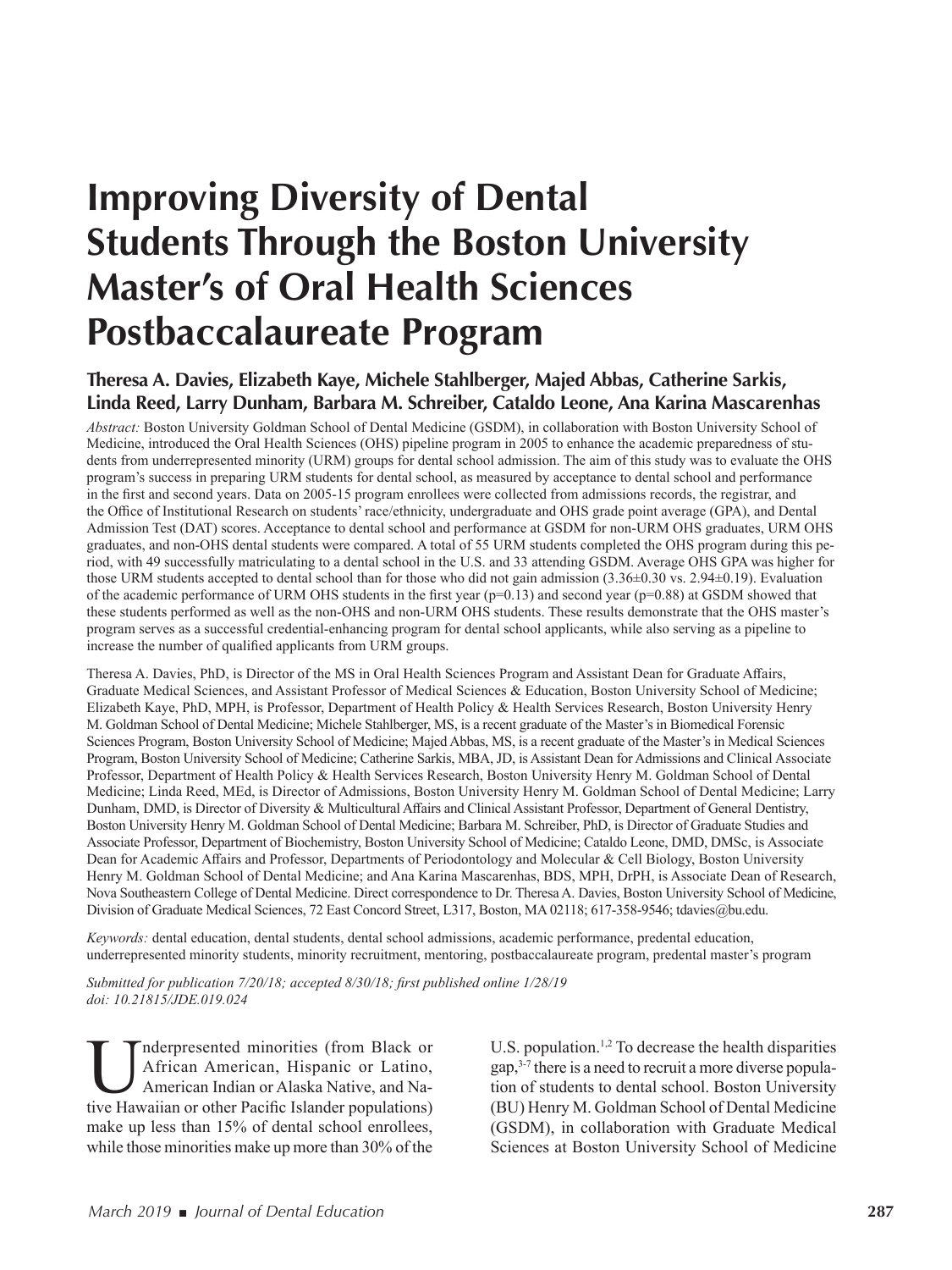# **Improving Diversity of Dental Students Through the Boston University Master's of Oral Health Sciences Postbaccalaureate Program**

### **Theresa A. Davies, Elizabeth Kaye, Michele Stahlberger, Majed Abbas, Catherine Sarkis, Linda Reed, Larry Dunham, Barbara M. Schreiber, Cataldo Leone, Ana Karina Mascarenhas**

*Abstract:* Boston University Goldman School of Dental Medicine (GSDM), in collaboration with Boston University School of Medicine, introduced the Oral Health Sciences (OHS) pipeline program in 2005 to enhance the academic preparedness of students from underrepresented minority (URM) groups for dental school admission. The aim of this study was to evaluate the OHS program's success in preparing URM students for dental school, as measured by acceptance to dental school and performance in the first and second years. Data on 2005-15 program enrollees were collected from admissions records, the registrar, and the Office of Institutional Research on students' race/ethnicity, undergraduate and OHS grade point average (GPA), and Dental Admission Test (DAT) scores. Acceptance to dental school and performance at GSDM for non-URM OHS graduates, URM OHS graduates, and non-OHS dental students were compared. A total of 55 URM students completed the OHS program during this period, with 49 successfully matriculating to a dental school in the U.S. and 33 attending GSDM. Average OHS GPA was higher for those URM students accepted to dental school than for those who did not gain admission (3.36±0.30 vs. 2.94±0.19). Evaluation of the academic performance of URM OHS students in the first year ( $p=0.13$ ) and second year ( $p=0.88$ ) at GSDM showed that these students performed as well as the non-OHS and non-URM OHS students. These results demonstrate that the OHS master's program serves as a successful credential-enhancing program for dental school applicants, while also serving as a pipeline to increase the number of qualified applicants from URM groups.

Theresa A. Davies, PhD, is Director of the MS in Oral Health Sciences Program and Assistant Dean for Graduate Afairs, Graduate Medical Sciences, and Assistant Professor of Medical Sciences & Education, Boston University School of Medicine; Elizabeth Kaye, PhD, MPH, is Professor, Department of Health Policy & Health Services Research, Boston University Henry M. Goldman School of Dental Medicine; Michele Stahlberger, MS, is a recent graduate of the Master's in Biomedical Forensic Sciences Program, Boston University School of Medicine; Majed Abbas, MS, is a recent graduate of the Master's in Medical Sciences Program, Boston University School of Medicine; Catherine Sarkis, MBA, JD, is Assistant Dean for Admissions and Clinical Associate Professor, Department of Health Policy & Health Services Research, Boston University Henry M. Goldman School of Dental Medicine; Linda Reed, MEd, is Director of Admissions, Boston University Henry M. Goldman School of Dental Medicine; Larry Dunham, DMD, is Director of Diversity & Multicultural Afairs and Clinical Assistant Professor, Department of General Dentistry, Boston University Henry M. Goldman School of Dental Medicine; Barbara M. Schreiber, PhD, is Director of Graduate Studies and Associate Professor, Department of Biochemistry, Boston University School of Medicine; Cataldo Leone, DMD, DMSc, is Associate Dean for Academic Afairs and Professor, Departments of Periodontology and Molecular & Cell Biology, Boston University Henry M. Goldman School of Dental Medicine; and Ana Karina Mascarenhas, BDS, MPH, DrPH, is Associate Dean of Research, Nova Southeastern College of Dental Medicine. Direct correspondence to Dr. Theresa A. Davies, Boston University School of Medicine, Division of Graduate Medical Sciences, 72 East Concord Street, L317, Boston, MA 02118; 617-358-9546; tdavies@bu.edu.

*Keywords:* dental education, dental students, dental school admissions, academic performance, predental education, underrepresented minority students, minority recruitment, mentoring, postbaccalaureate program, predental master's program

*Submitted for publication 7/20/18; accepted 8/30/18; irst published online 1/28/19 doi: 10.21815/JDE.019.024*

**THE SET ALL STARK SET AMELIAN SET ALL STARK SET AMELIA AMERICAL AMELIA AMELIA AMELIA AMELIA AMELIA ANGLE PACIFIC ISLANDICE ISLANDER POpulations)**<br>American Indian or Alaska Native, and Native Hawaiian or other Pacific Isla nderpresented minorities (from Black or African American, Hispanic or Latino, American Indian or Alaska Native, and Namake up less than 15% of dental school enrollees, while those minorities make up more than 30% of the

U.S. population.<sup>1,2</sup> To decrease the health disparities gap,3-7 there is a need to recruit a more diverse population of students to dental school. Boston University (BU) Henry M. Goldman School of Dental Medicine (GSDM), in collaboration with Graduate Medical Sciences at Boston University School of Medicine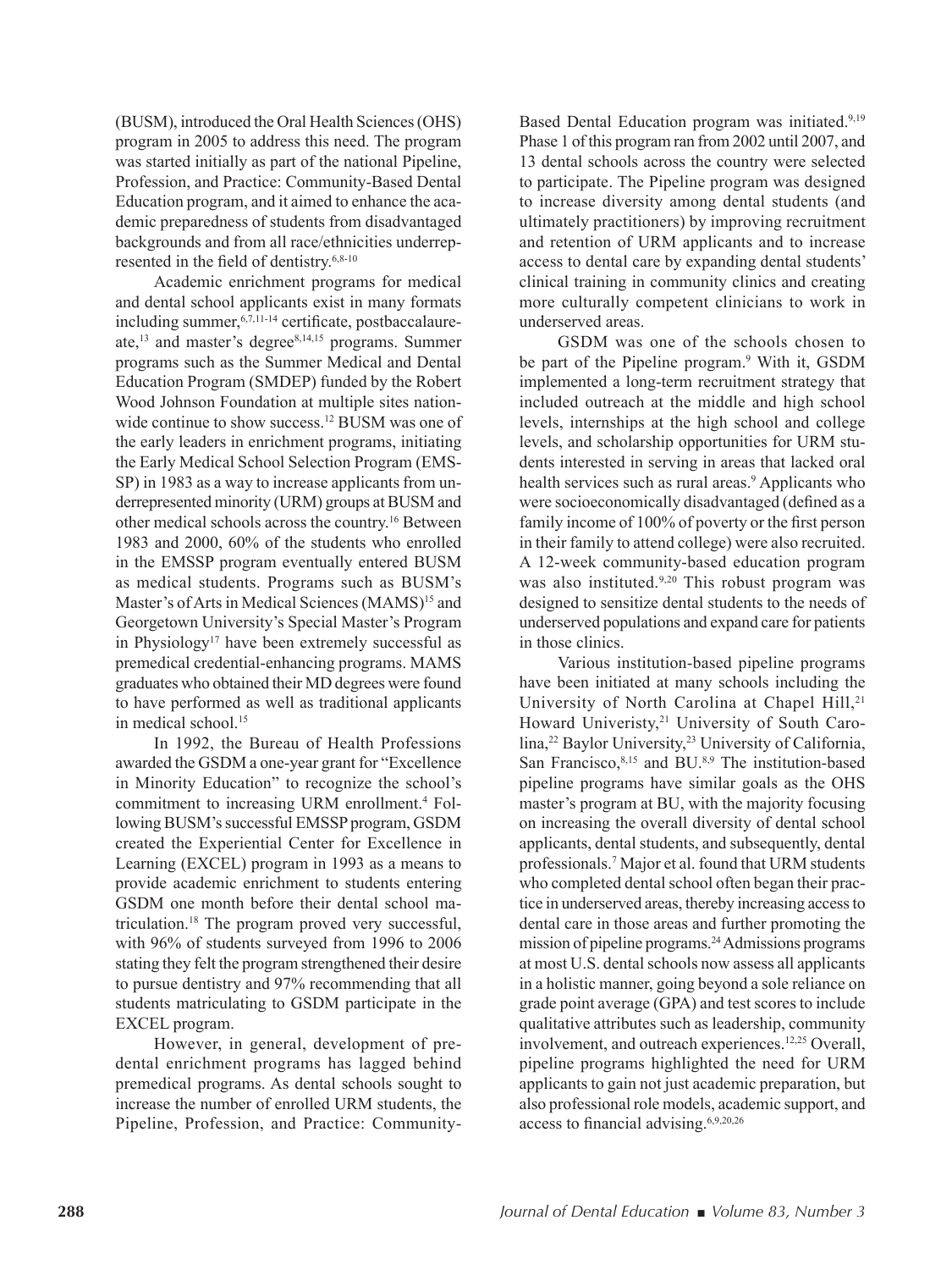(BUSM), introduced the Oral Health Sciences (OHS) program in 2005 to address this need. The program was started initially as part of the national Pipeline, Profession, and Practice: Community-Based Dental Education program, and it aimed to enhance the academic preparedness of students from disadvantaged backgrounds and from all race/ethnicities underrepresented in the field of dentistry. $6,8-10$ 

Academic enrichment programs for medical and dental school applicants exist in many formats including summer,  $6,7,11-14$  certificate, postbaccalaureate,<sup>13</sup> and master's degree8,14,15 programs. Summer programs such as the Summer Medical and Dental Education Program (SMDEP) funded by the Robert Wood Johnson Foundation at multiple sites nationwide continue to show success.<sup>12</sup> BUSM was one of the early leaders in enrichment programs, initiating the Early Medical School Selection Program (EMS-SP) in 1983 as a way to increase applicants from underrepresented minority (URM) groups at BUSM and other medical schools across the country.<sup>16</sup> Between 1983 and 2000, 60% of the students who enrolled in the EMSSP program eventually entered BUSM as medical students. Programs such as BUSM's Master's of Arts in Medical Sciences (MAMS)<sup>15</sup> and Georgetown University's Special Master's Program in Physiology<sup>17</sup> have been extremely successful as premedical credential-enhancing programs. MAMS graduates who obtained their MD degrees were found to have performed as well as traditional applicants in medical school.<sup>15</sup>

In 1992, the Bureau of Health Professions awarded the GSDM a one-year grant for "Excellence in Minority Education" to recognize the school's commitment to increasing URM enrollment.<sup>4</sup> Following BUSM's successful EMSSP program, GSDM created the Experiential Center for Excellence in Learning (EXCEL) program in 1993 as a means to provide academic enrichment to students entering GSDM one month before their dental school matriculation.<sup>18</sup> The program proved very successful, with 96% of students surveyed from 1996 to 2006 stating they felt the program strengthened their desire to pursue dentistry and 97% recommending that all students matriculating to GSDM participate in the EXCEL program.

However, in general, development of predental enrichment programs has lagged behind premedical programs. As dental schools sought to increase the number of enrolled URM students, the Pipeline, Profession, and Practice: Community-

Based Dental Education program was initiated.<sup>9,19</sup> Phase 1 of this program ran from 2002 until 2007, and 13 dental schools across the country were selected to participate. The Pipeline program was designed to increase diversity among dental students (and ultimately practitioners) by improving recruitment and retention of URM applicants and to increase access to dental care by expanding dental students' clinical training in community clinics and creating more culturally competent clinicians to work in underserved areas.

GSDM was one of the schools chosen to be part of the Pipeline program.<sup>9</sup> With it, GSDM implemented a long-term recruitment strategy that included outreach at the middle and high school levels, internships at the high school and college levels, and scholarship opportunities for URM students interested in serving in areas that lacked oral health services such as rural areas.<sup>9</sup> Applicants who were socioeconomically disadvantaged (defined as a family income of 100% of poverty or the first person in their family to attend college) were also recruited. A 12-week community-based education program was also instituted.<sup>9,20</sup> This robust program was designed to sensitize dental students to the needs of underserved populations and expand care for patients in those clinics.

Various institution-based pipeline programs have been initiated at many schools including the University of North Carolina at Chapel Hill,<sup>21</sup> Howard Univeristy,<sup>21</sup> University of South Carolina,<sup>22</sup> Baylor University,<sup>23</sup> University of California, San Francisco,<sup>8,15</sup> and BU.<sup>8,9</sup> The institution-based pipeline programs have similar goals as the OHS master's program at BU, with the majority focusing on increasing the overall diversity of dental school applicants, dental students, and subsequently, dental professionals.<sup>7</sup> Major et al. found that URM students who completed dental school often began their practice in underserved areas, thereby increasing access to dental care in those areas and further promoting the mission of pipeline programs.<sup>24</sup> Admissions programs at most U.S. dental schools now assess all applicants in a holistic manner, going beyond a sole reliance on grade point average (GPA) and test scores to include qualitative attributes such as leadership, community involvement, and outreach experiences.<sup>12,25</sup> Overall, pipeline programs highlighted the need for URM applicants to gain not just academic preparation, but also professional role models, academic support, and access to financial advising.<sup>6,9,20,26</sup>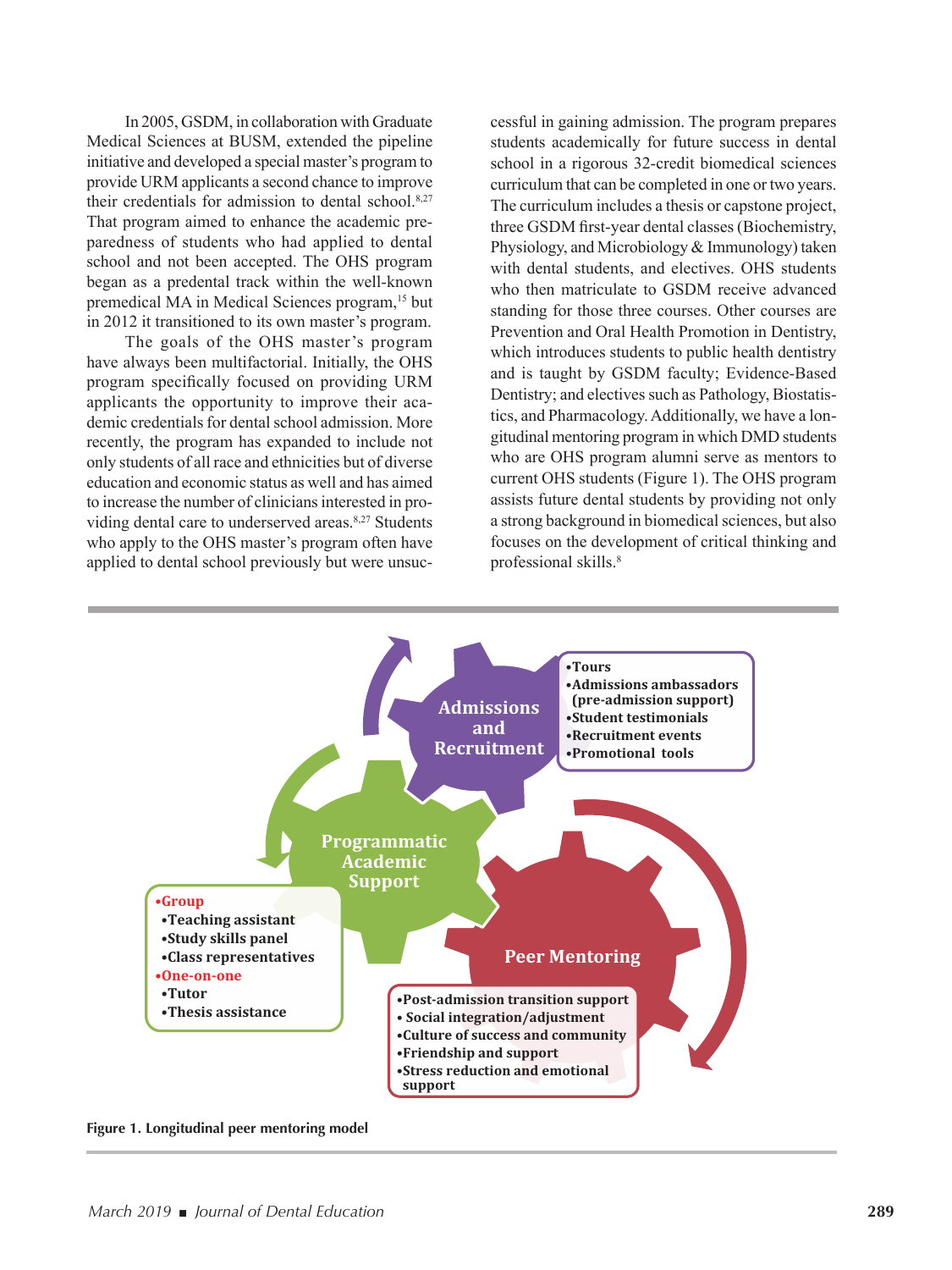In 2005, GSDM, in collaboration with Graduate Medical Sciences at BUSM, extended the pipeline initiative and developed a special master's program to provide URM applicants a second chance to improve their credentials for admission to dental school. $8,27$ That program aimed to enhance the academic preparedness of students who had applied to dental school and not been accepted. The OHS program began as a predental track within the well-known premedical MA in Medical Sciences program,<sup>15</sup> but in 2012 it transitioned to its own master's program.

The goals of the OHS master's program have always been multifactorial. Initially, the OHS program specifically focused on providing URM applicants the opportunity to improve their academic credentials for dental school admission. More recently, the program has expanded to include not only students of all race and ethnicities but of diverse education and economic status as well and has aimed to increase the number of clinicians interested in providing dental care to underserved areas.<sup>8,27</sup> Students who apply to the OHS master's program often have applied to dental school previously but were unsuc-

cessful in gaining admission. The program prepares students academically for future success in dental school in a rigorous 32-credit biomedical sciences curriculum that can be completed in one or two years. The curriculum includes a thesis or capstone project, three GSDM first-year dental classes (Biochemistry, Physiology, and Microbiology & Immunology) taken with dental students, and electives. OHS students who then matriculate to GSDM receive advanced standing for those three courses. Other courses are Prevention and Oral Health Promotion in Dentistry, which introduces students to public health dentistry and is taught by GSDM faculty; Evidence-Based Dentistry; and electives such as Pathology, Biostatistics, and Pharmacology. Additionally, we have a longitudinal mentoring program in which DMD students who are OHS program alumni serve as mentors to current OHS students (Figure 1). The OHS program assists future dental students by providing not only a strong background in biomedical sciences, but also focuses on the development of critical thinking and professional skills.<sup>8</sup>



**Figure 1. Longitudinal peer mentoring model**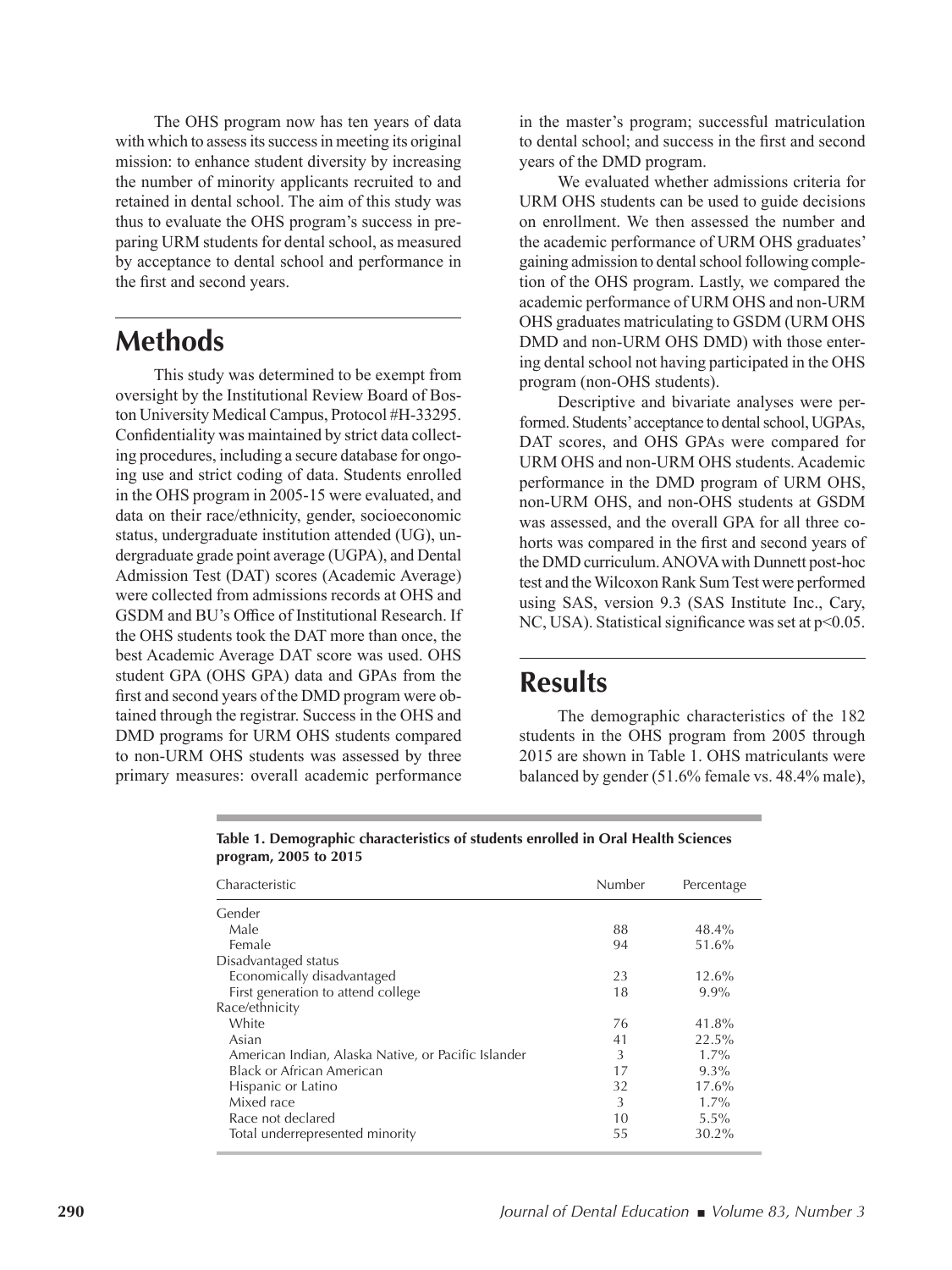The OHS program now has ten years of data with which to assess its success in meeting its original mission: to enhance student diversity by increasing the number of minority applicants recruited to and retained in dental school. The aim of this study was thus to evaluate the OHS program's success in preparing URM students for dental school, as measured by acceptance to dental school and performance in the first and second years.

### **Methods**

This study was determined to be exempt from oversight by the Institutional Review Board of Boston University Medical Campus, Protocol #H-33295. Confidentiality was maintained by strict data collecting procedures, including a secure database for ongoing use and strict coding of data. Students enrolled in the OHS program in 2005-15 were evaluated, and data on their race/ethnicity, gender, socioeconomic status, undergraduate institution attended (UG), undergraduate grade point average (UGPA), and Dental Admission Test (DAT) scores (Academic Average) were collected from admissions records at OHS and GSDM and BU's Office of Institutional Research. If the OHS students took the DAT more than once, the best Academic Average DAT score was used. OHS student GPA (OHS GPA) data and GPAs from the first and second years of the DMD program were obtained through the registrar. Success in the OHS and DMD programs for URM OHS students compared to non-URM OHS students was assessed by three primary measures: overall academic performance

in the master's program; successful matriculation to dental school; and success in the first and second years of the DMD program.

We evaluated whether admissions criteria for URM OHS students can be used to guide decisions on enrollment. We then assessed the number and the academic performance of URM OHS graduates' gaining admission to dental school following completion of the OHS program. Lastly, we compared the academic performance of URM OHS and non-URM OHS graduates matriculating to GSDM (URM OHS DMD and non-URM OHS DMD) with those entering dental school not having participated in the OHS program (non-OHS students).

Descriptive and bivariate analyses were performed. Students' acceptance to dental school, UGPAs, DAT scores, and OHS GPAs were compared for URM OHS and non-URM OHS students. Academic performance in the DMD program of URM OHS, non-URM OHS, and non-OHS students at GSDM was assessed, and the overall GPA for all three cohorts was compared in the first and second years of the DMD curriculum. ANOVA with Dunnett post-hoc test and the Wilcoxon Rank Sum Test were performed using SAS, version 9.3 (SAS Institute Inc., Cary, NC, USA). Statistical significance was set at  $p<0.05$ .

### **Results**

The demographic characteristics of the 182 students in the OHS program from 2005 through 2015 are shown in Table 1. OHS matriculants were balanced by gender (51.6% female vs. 48.4% male),

| Characteristic                                      | Number | Percentage |
|-----------------------------------------------------|--------|------------|
| Gender                                              |        |            |
| Male                                                | 88     | 48.4%      |
| Female                                              | 94     | 51.6%      |
| Disadvantaged status                                |        |            |
| Economically disadvantaged                          | 23     | 12.6%      |
| First generation to attend college                  | 18     | $9.9\%$    |
| Race/ethnicity                                      |        |            |
| White                                               | 76     | 41.8%      |
| Asian                                               | 41     | 22.5%      |
| American Indian, Alaska Native, or Pacific Islander | 3      | $1.7\%$    |
| Black or African American                           | 17     | $9.3\%$    |
| Hispanic or Latino                                  | 32     | 17.6%      |
| Mixed race                                          | 3      | $1.7\%$    |
| Race not declared                                   | 10     | $5.5\%$    |
| Total underrepresented minority                     | 55     | 30.2%      |

**Table 1. Demographic characteristics of students enrolled in Oral Health Sciences program, 2005 to 2015**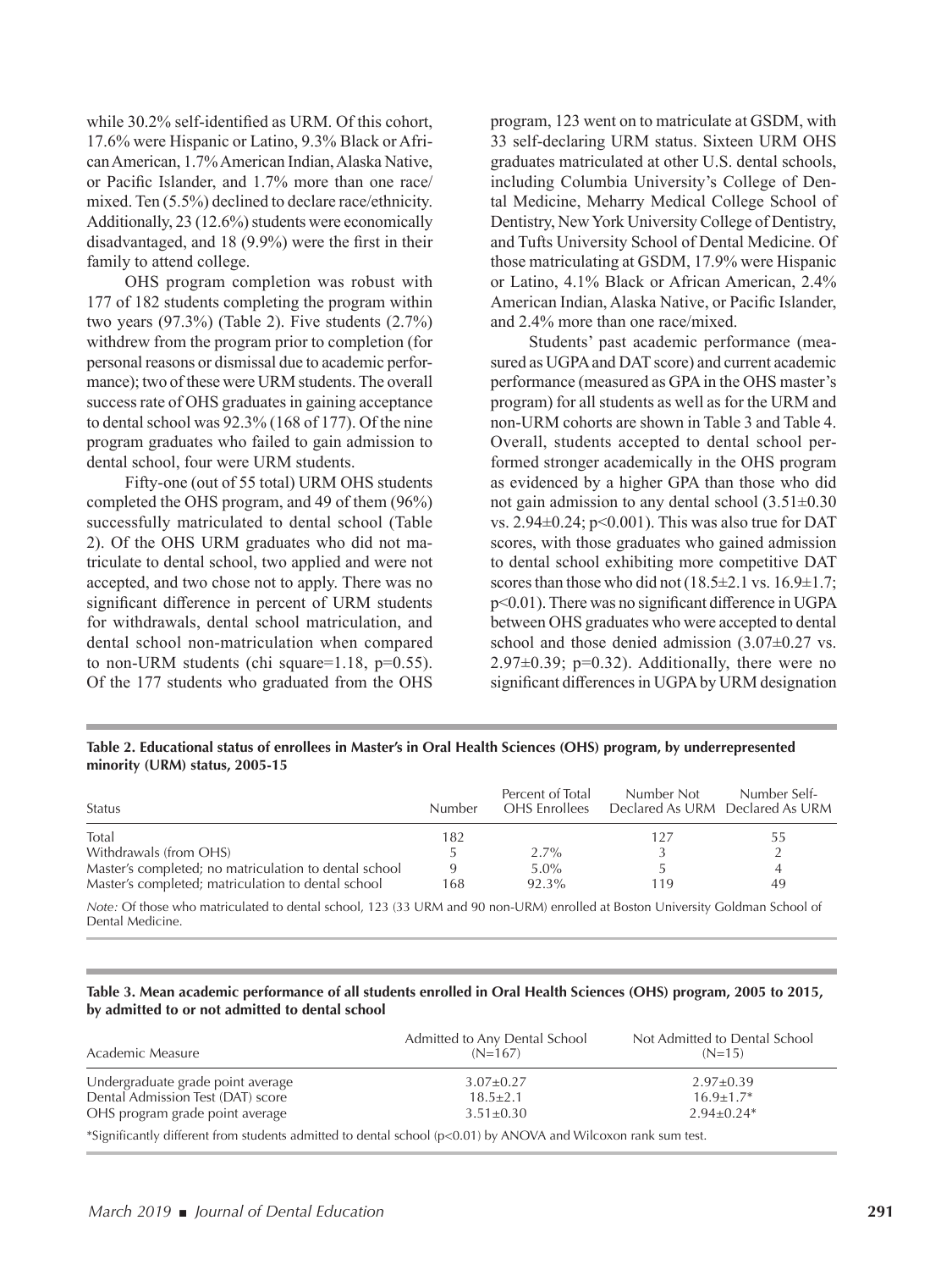while 30.2% self-identified as URM. Of this cohort, 17.6% were Hispanic or Latino, 9.3% Black or African American, 1.7% American Indian, Alaska Native, or Pacific Islander, and 1.7% more than one race/ mixed. Ten (5.5%) declined to declare race/ethnicity. Additionally, 23 (12.6%) students were economically disadvantaged, and  $18$  (9.9%) were the first in their family to attend college.

OHS program completion was robust with 177 of 182 students completing the program within two years (97.3%) (Table 2). Five students (2.7%) withdrew from the program prior to completion (for personal reasons or dismissal due to academic performance); two of these were URM students. The overall success rate of OHS graduates in gaining acceptance to dental school was 92.3% (168 of 177). Of the nine program graduates who failed to gain admission to dental school, four were URM students.

Fifty-one (out of 55 total) URM OHS students completed the OHS program, and 49 of them (96%) successfully matriculated to dental school (Table 2). Of the OHS URM graduates who did not matriculate to dental school, two applied and were not accepted, and two chose not to apply. There was no significant difference in percent of URM students for withdrawals, dental school matriculation, and dental school non-matriculation when compared to non-URM students (chi square=1.18, p=0.55). Of the 177 students who graduated from the OHS

program, 123 went on to matriculate at GSDM, with 33 self-declaring URM status. Sixteen URM OHS graduates matriculated at other U.S. dental schools, including Columbia University's College of Dental Medicine, Meharry Medical College School of Dentistry, New York University College of Dentistry, and Tufts University School of Dental Medicine. Of those matriculating at GSDM, 17.9% were Hispanic or Latino, 4.1% Black or African American, 2.4% American Indian, Alaska Native, or Pacific Islander, and 2.4% more than one race/mixed.

Students' past academic performance (measured as UGPA and DAT score) and current academic performance (measured as GPA in the OHS master's program) for all students as well as for the URM and non-URM cohorts are shown in Table 3 and Table 4. Overall, students accepted to dental school performed stronger academically in the OHS program as evidenced by a higher GPA than those who did not gain admission to any dental school (3.51±0.30 vs.  $2.94\pm0.24$ ; p<0.001). This was also true for DAT scores, with those graduates who gained admission to dental school exhibiting more competitive DAT scores than those who did not  $(18.5\pm2.1 \text{ vs. } 16.9\pm1.7)$ ;  $p<0.01$ ). There was no significant difference in UGPA between OHS graduates who were accepted to dental school and those denied admission  $(3.07\pm0.27 \text{ vs.})$ 2.97±0.39; p=0.32). Additionally, there were no significant differences in UGPA by URM designation

#### **Table 2. Educational status of enrollees in Master's in Oral Health Sciences (OHS) program, by underrepresented minority (URM) status, 2005-15**

| <b>Status</b>                                         | Number | Percent of Total<br>OHS Enrollees | Number Not | Number Self-<br>Declared As URM Declared As URM |
|-------------------------------------------------------|--------|-----------------------------------|------------|-------------------------------------------------|
| Total                                                 | 182    |                                   |            | 55                                              |
| Withdrawals (from OHS)                                |        | $2.7\%$                           |            |                                                 |
| Master's completed; no matriculation to dental school |        | $5.0\%$                           |            |                                                 |
| Master's completed; matriculation to dental school    | 168    | 92.3%                             | 119        | 49                                              |

*Note:* Of those who matriculated to dental school, 123 (33 URM and 90 non-URM) enrolled at Boston University Goldman School of Dental Medicine.

#### **Table 3. Mean academic performance of all students enrolled in Oral Health Sciences (OHS) program, 2005 to 2015, by admitted to or not admitted to dental school**

| Academic Measure                                                                                               | Admitted to Any Dental School<br>$(N=167)$ | Not Admitted to Dental School<br>$(N=15)$ |
|----------------------------------------------------------------------------------------------------------------|--------------------------------------------|-------------------------------------------|
| Undergraduate grade point average                                                                              | $3.07 \pm 0.27$                            | $2.97 \pm 0.39$                           |
| Dental Admission Test (DAT) score                                                                              | $18.5 \pm 2.1$                             | $16.9 + 1.7*$                             |
| OHS program grade point average                                                                                | $3.51 \pm 0.30$                            | $2.94+0.24*$                              |
| *Significantly different from students admitted to dental school (p<0.01) by ANOVA and Wilcoxon rank sum test. |                                            |                                           |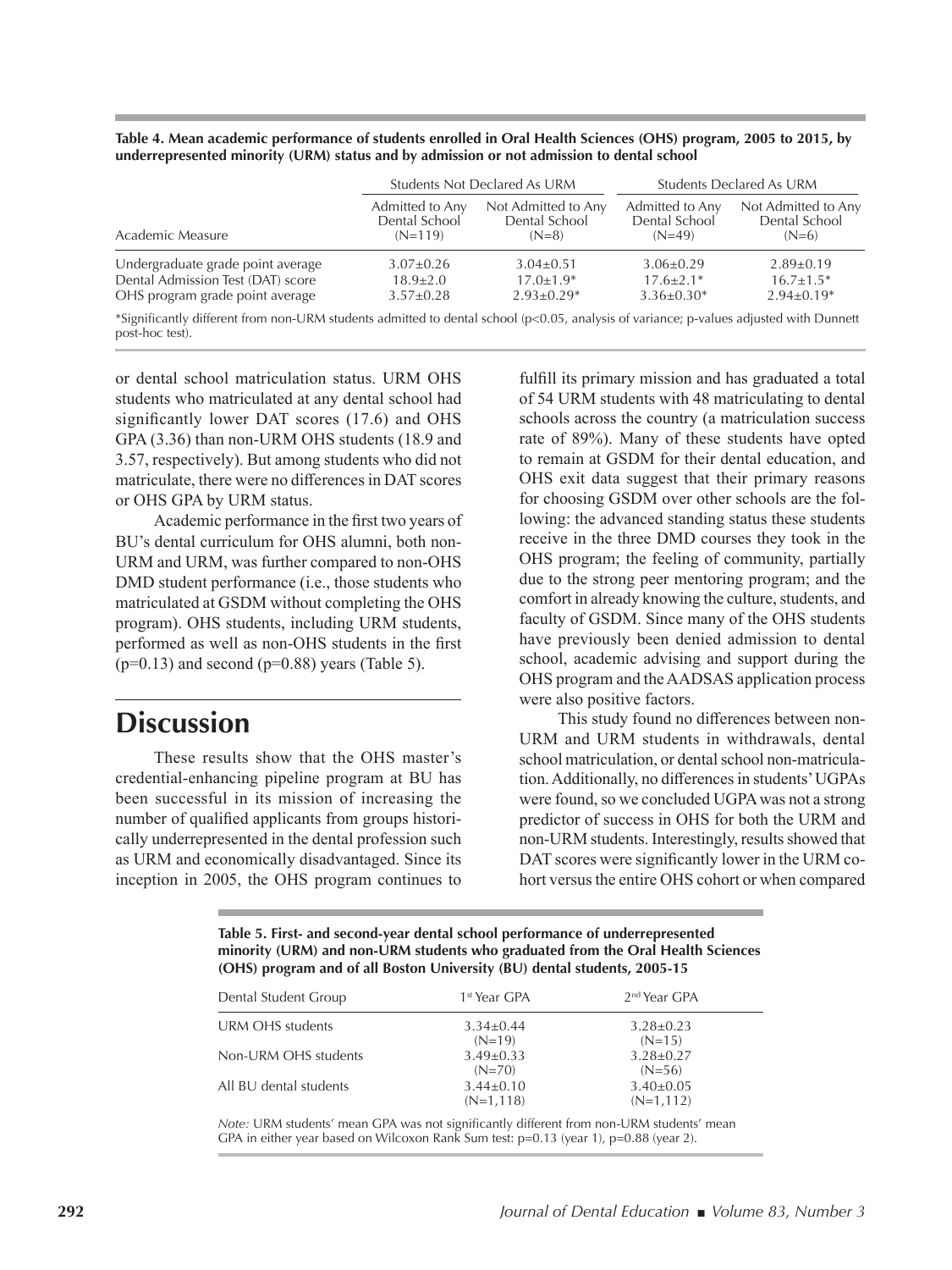| Table 4. Mean academic performance of students enrolled in Oral Health Sciences (OHS) program, 2005 to 2015, by |  |
|-----------------------------------------------------------------------------------------------------------------|--|
| underrepresented minority (URM) status and by admission or not admission to dental school                       |  |

|                                                                                                                |                                               | <b>Students Not Declared As URM</b>             | <b>Students Declared As URM</b>              |                                                 |
|----------------------------------------------------------------------------------------------------------------|-----------------------------------------------|-------------------------------------------------|----------------------------------------------|-------------------------------------------------|
| Academic Measure                                                                                               | Admitted to Any<br>Dental School<br>$(N=119)$ | Not Admitted to Any<br>Dental School<br>$(N=8)$ | Admitted to Any<br>Dental School<br>$(N=49)$ | Not Admitted to Any<br>Dental School<br>$(N=6)$ |
| Undergraduate grade point average                                                                              | $3.07 \pm 0.26$                               | $3.04 \pm 0.51$                                 | $3.06 + 0.29$                                | $2.89 \pm 0.19$                                 |
| Dental Admission Test (DAT) score                                                                              | $18.9 \pm 2.0$                                | $17.0 + 1.9*$                                   | $17.6 + 2.1*$                                | $16.7 + 1.5*$                                   |
| OHS program grade point average                                                                                | $3.57 \pm 0.28$                               | $2.93 \pm 0.29*$                                | $3.36 \pm 0.30^*$                            | $2.94+0.19*$                                    |
| . https://www.ching.com/www.ching.com/www.ching.com/www.ching.com/www.ching.com/www.ching.com/www.ching.com/ww |                                               |                                                 |                                              |                                                 |

\*Significantly different from non-URM students admitted to dental school (p<0.05, analysis of variance; p-values adjusted with Dunnett post-hoc test).

or dental school matriculation status. URM OHS students who matriculated at any dental school had significantly lower DAT scores (17.6) and OHS GPA (3.36) than non-URM OHS students (18.9 and 3.57, respectively). But among students who did not matriculate, there were no diferences in DAT scores or OHS GPA by URM status.

Academic performance in the first two years of BU's dental curriculum for OHS alumni, both non-URM and URM, was further compared to non-OHS DMD student performance (i.e., those students who matriculated at GSDM without completing the OHS program). OHS students, including URM students, performed as well as non-OHS students in the first  $(p=0.13)$  and second  $(p=0.88)$  years (Table 5).

# **Discussion**

These results show that the OHS master's credential-enhancing pipeline program at BU has been successful in its mission of increasing the number of qualified applicants from groups historically underrepresented in the dental profession such as URM and economically disadvantaged. Since its inception in 2005, the OHS program continues to fulfill its primary mission and has graduated a total of 54 URM students with 48 matriculating to dental schools across the country (a matriculation success rate of 89%). Many of these students have opted to remain at GSDM for their dental education, and OHS exit data suggest that their primary reasons for choosing GSDM over other schools are the following: the advanced standing status these students receive in the three DMD courses they took in the OHS program; the feeling of community, partially due to the strong peer mentoring program; and the comfort in already knowing the culture, students, and faculty of GSDM. Since many of the OHS students have previously been denied admission to dental school, academic advising and support during the OHS program and the AADSAS application process were also positive factors.

This study found no diferences between non-URM and URM students in withdrawals, dental school matriculation, or dental school non-matriculation. Additionally, no diferences in students' UGPAs were found, so we concluded UGPA was not a strong predictor of success in OHS for both the URM and non-URM students. Interestingly, results showed that DAT scores were significantly lower in the URM cohort versus the entire OHS cohort or when compared

**Table 5. First- and second-year dental school performance of underrepresented minority (URM) and non-URM students who graduated from the Oral Health Sciences (OHS) program and of all Boston University (BU) dental students, 2005-15** 

| Dental Student Group   | 1 <sup>st</sup> Year GPA     | 2 <sup>nd</sup> Year GPA      |
|------------------------|------------------------------|-------------------------------|
| URM OHS students       | $3.34 + 0.44$<br>$(N=19)$    | $3.28 \pm 0.23$<br>$(N=15)$   |
| Non-URM OHS students   | $3.49 \pm 0.33$<br>$(N=70)$  | $3.28 \pm 0.27$<br>$(N=56)$   |
| All BU dental students | $3.44 + 0.10$<br>$(N=1,118)$ | $3.40\pm0.05$<br>$(N=1, 112)$ |

*Note:* URM students' mean GPA was not significantly different from non-URM students' mean GPA in either year based on Wilcoxon Rank Sum test: p=0.13 (year 1), p=0.88 (year 2).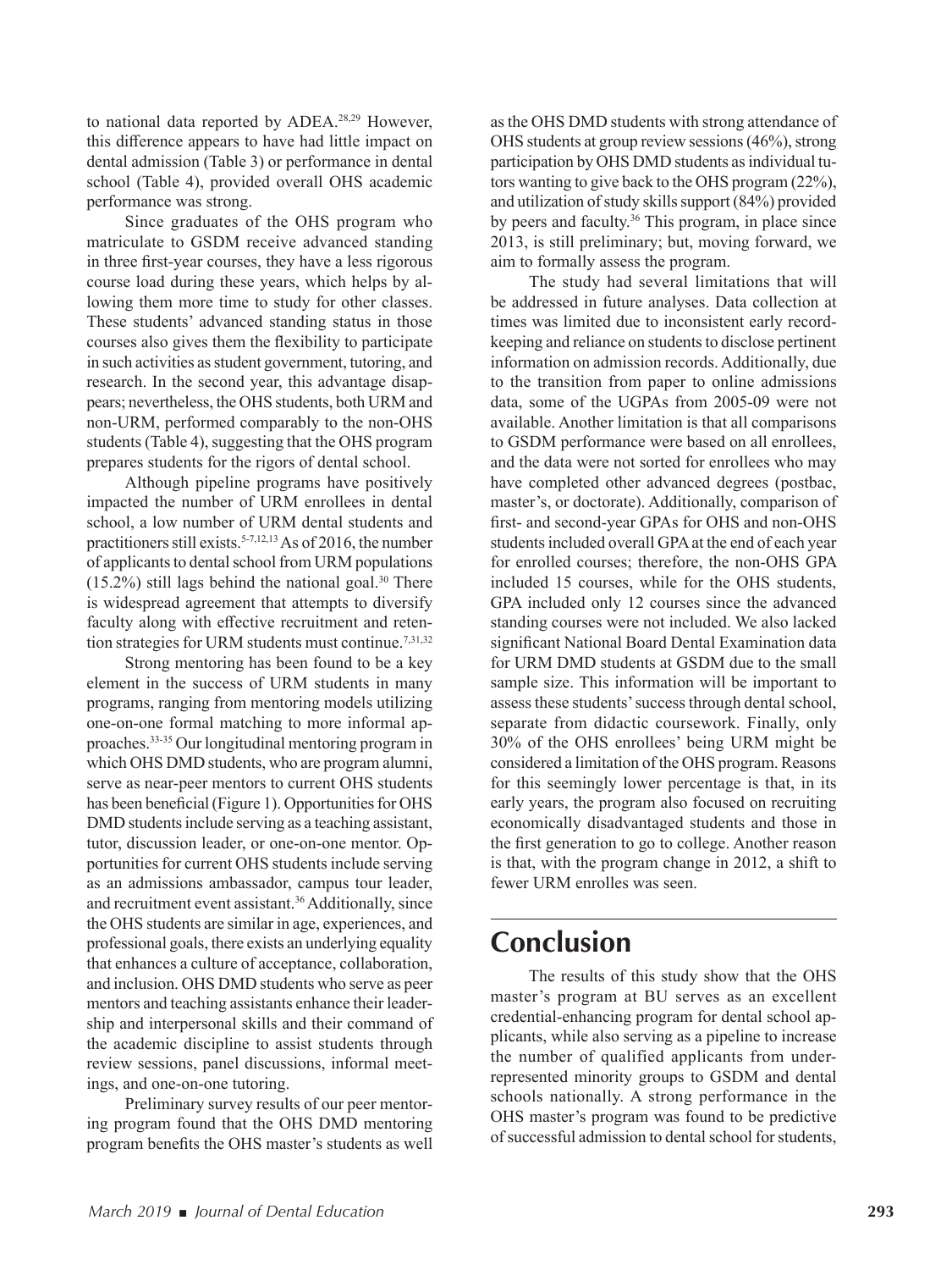to national data reported by ADEA.28,29 However, this diference appears to have had little impact on dental admission (Table 3) or performance in dental school (Table 4), provided overall OHS academic performance was strong.

Since graduates of the OHS program who matriculate to GSDM receive advanced standing in three first-year courses, they have a less rigorous course load during these years, which helps by allowing them more time to study for other classes. These students' advanced standing status in those courses also gives them the flexibility to participate in such activities as student government, tutoring, and research. In the second year, this advantage disappears; nevertheless, the OHS students, both URM and non-URM, performed comparably to the non-OHS students (Table 4), suggesting that the OHS program prepares students for the rigors of dental school.

Although pipeline programs have positively impacted the number of URM enrollees in dental school, a low number of URM dental students and practitioners still exists.<sup>5-7,12,13</sup> As of 2016, the number of applicants to dental school from URM populations  $(15.2\%)$  still lags behind the national goal.<sup>30</sup> There is widespread agreement that attempts to diversify faculty along with effective recruitment and retention strategies for URM students must continue.<sup>7,31,32</sup>

Strong mentoring has been found to be a key element in the success of URM students in many programs, ranging from mentoring models utilizing one-on-one formal matching to more informal approaches.33-35 Our longitudinal mentoring program in which OHS DMD students, who are program alumni, serve as near-peer mentors to current OHS students has been beneficial (Figure 1). Opportunities for OHS DMD students include serving as a teaching assistant, tutor, discussion leader, or one-on-one mentor. Opportunities for current OHS students include serving as an admissions ambassador, campus tour leader, and recruitment event assistant.<sup>36</sup> Additionally, since the OHS students are similar in age, experiences, and professional goals, there exists an underlying equality that enhances a culture of acceptance, collaboration, and inclusion. OHS DMD students who serve as peer mentors and teaching assistants enhance their leadership and interpersonal skills and their command of the academic discipline to assist students through review sessions, panel discussions, informal meetings, and one-on-one tutoring.

Preliminary survey results of our peer mentoring program found that the OHS DMD mentoring program benefits the OHS master's students as well

as the OHS DMD students with strong attendance of OHS students at group review sessions (46%), strong participation by OHS DMD students as individual tutors wanting to give back to the OHS program (22%), and utilization of study skills support (84%) provided by peers and faculty.<sup>36</sup> This program, in place since 2013, is still preliminary; but, moving forward, we aim to formally assess the program.

The study had several limitations that will be addressed in future analyses. Data collection at times was limited due to inconsistent early recordkeeping and reliance on students to disclose pertinent information on admission records. Additionally, due to the transition from paper to online admissions data, some of the UGPAs from 2005-09 were not available. Another limitation is that all comparisons to GSDM performance were based on all enrollees, and the data were not sorted for enrollees who may have completed other advanced degrees (postbac, master's, or doctorate). Additionally, comparison of first- and second-year GPAs for OHS and non-OHS students included overall GPA at the end of each year for enrolled courses; therefore, the non-OHS GPA included 15 courses, while for the OHS students, GPA included only 12 courses since the advanced standing courses were not included. We also lacked significant National Board Dental Examination data for URM DMD students at GSDM due to the small sample size. This information will be important to assess these students' success through dental school, separate from didactic coursework. Finally, only 30% of the OHS enrollees' being URM might be considered a limitation of the OHS program. Reasons for this seemingly lower percentage is that, in its early years, the program also focused on recruiting economically disadvantaged students and those in the first generation to go to college. Another reason is that, with the program change in 2012, a shift to fewer URM enrolles was seen.

## **Conclusion**

The results of this study show that the OHS master's program at BU serves as an excellent credential-enhancing program for dental school applicants, while also serving as a pipeline to increase the number of qualified applicants from underrepresented minority groups to GSDM and dental schools nationally. A strong performance in the OHS master's program was found to be predictive of successful admission to dental school for students,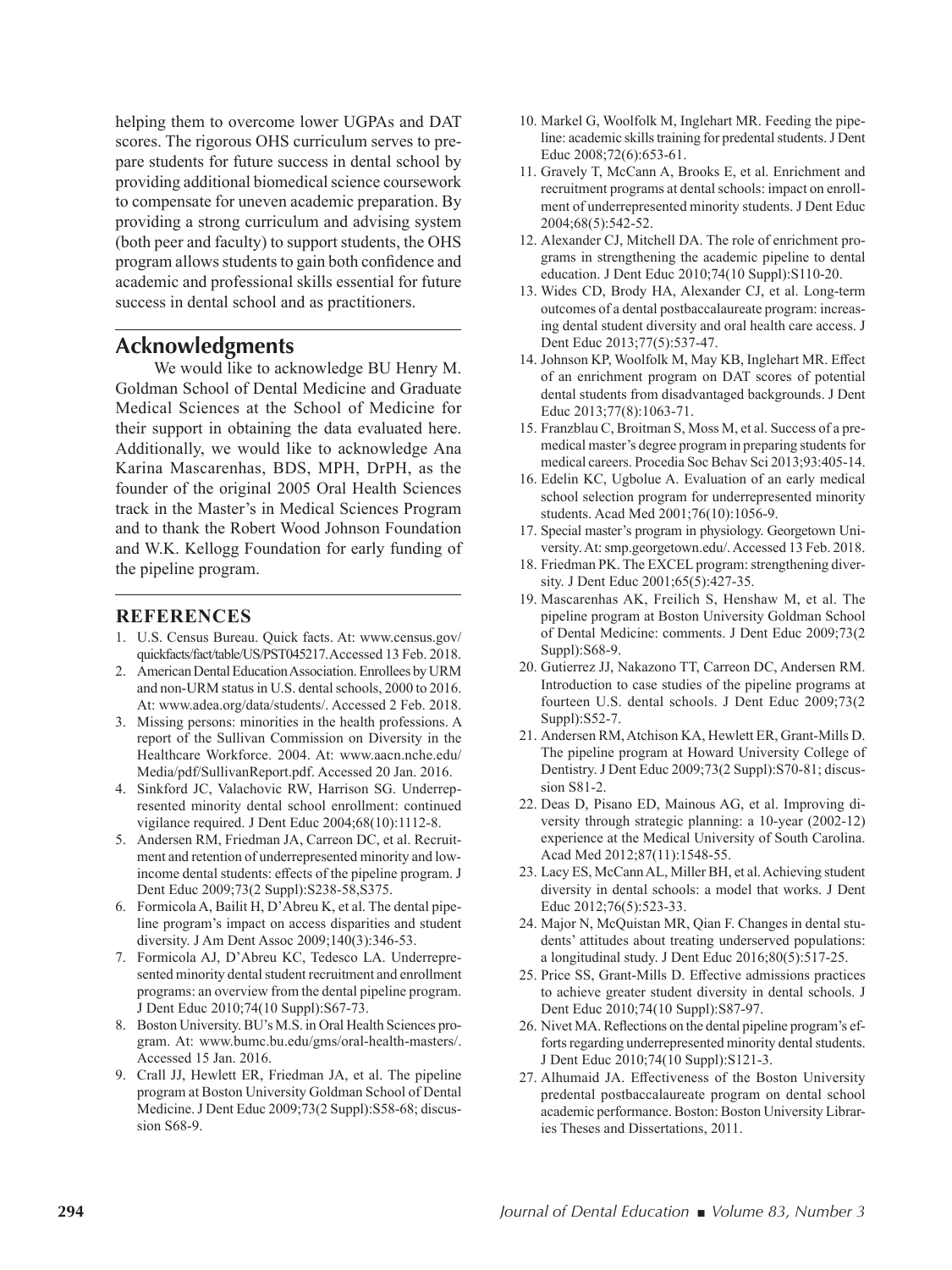helping them to overcome lower UGPAs and DAT scores. The rigorous OHS curriculum serves to prepare students for future success in dental school by providing additional biomedical science coursework to compensate for uneven academic preparation. By providing a strong curriculum and advising system (both peer and faculty) to support students, the OHS program allows students to gain both confidence and academic and professional skills essential for future success in dental school and as practitioners.

### **Acknowledgments**

We would like to acknowledge BU Henry M. Goldman School of Dental Medicine and Graduate Medical Sciences at the School of Medicine for their support in obtaining the data evaluated here. Additionally, we would like to acknowledge Ana Karina Mascarenhas, BDS, MPH, DrPH, as the founder of the original 2005 Oral Health Sciences track in the Master's in Medical Sciences Program and to thank the Robert Wood Johnson Foundation and W.K. Kellogg Foundation for early funding of the pipeline program.

#### **REFERENCES**

- 1. U.S. Census Bureau. Quick facts. At: www.census.gov/ quickfacts/fact/table/US/PST045217. Accessed 13 Feb. 2018.
- 2. American Dental Education Association. Enrollees by URM and non-URM status in U.S. dental schools, 2000 to 2016. At: www.adea.org/data/students/. Accessed 2 Feb. 2018.
- 3. Missing persons: minorities in the health professions. A report of the Sullivan Commission on Diversity in the Healthcare Workforce. 2004. At: www.aacn.nche.edu/ Media/pdf/SullivanReport.pdf. Accessed 20 Jan. 2016.
- 4. Sinkford JC, Valachovic RW, Harrison SG. Underrepresented minority dental school enrollment: continued vigilance required. J Dent Educ 2004;68(10):1112-8.
- 5. Andersen RM, Friedman JA, Carreon DC, et al. Recruitment and retention of underrepresented minority and lowincome dental students: effects of the pipeline program. J Dent Educ 2009;73(2 Suppl):S238-58,S375.
- 6. Formicola A, Bailit H, D'Abreu K, et al. The dental pipeline program's impact on access disparities and student diversity. J Am Dent Assoc 2009;140(3):346-53.
- 7. Formicola AJ, D'Abreu KC, Tedesco LA. Underrepresented minority dental student recruitment and enrollment programs: an overview from the dental pipeline program. J Dent Educ 2010;74(10 Suppl):S67-73.
- 8. Boston University. BU's M.S. in Oral Health Sciences program. At: www.bumc.bu.edu/gms/oral-health-masters/. Accessed 15 Jan. 2016.
- 9. Crall JJ, Hewlett ER, Friedman JA, et al. The pipeline program at Boston University Goldman School of Dental Medicine. J Dent Educ 2009;73(2 Suppl):S58-68; discussion S68-9.
- 10. Markel G, Woolfolk M, Inglehart MR. Feeding the pipeline: academic skills training for predental students. J Dent Educ 2008;72(6):653-61.
- 11. Gravely T, McCann A, Brooks E, et al. Enrichment and recruitment programs at dental schools: impact on enrollment of underrepresented minority students. J Dent Educ 2004;68(5):542-52.
- 12. Alexander CJ, Mitchell DA. The role of enrichment programs in strengthening the academic pipeline to dental education. J Dent Educ 2010;74(10 Suppl):S110-20.
- 13. Wides CD, Brody HA, Alexander CJ, et al. Long-term outcomes of a dental postbaccalaureate program: increasing dental student diversity and oral health care access. J Dent Educ 2013;77(5):537-47.
- 14. Johnson KP, Woolfolk M, May KB, Inglehart MR. Efect of an enrichment program on DAT scores of potential dental students from disadvantaged backgrounds. J Dent Educ 2013;77(8):1063-71.
- 15. Franzblau C, Broitman S, Moss M, et al. Success of a premedical master's degree program in preparing students for medical careers. Procedia Soc Behav Sci 2013;93:405-14.
- 16. Edelin KC, Ugbolue A. Evaluation of an early medical school selection program for underrepresented minority students. Acad Med 2001;76(10):1056-9.
- 17. Special master's program in physiology. Georgetown University. At: smp.georgetown.edu/. Accessed 13 Feb. 2018.
- 18. Friedman PK. The EXCEL program: strengthening diversity. J Dent Educ 2001;65(5):427-35.
- 19. Mascarenhas AK, Freilich S, Henshaw M, et al. The pipeline program at Boston University Goldman School of Dental Medicine: comments. J Dent Educ 2009;73(2 Suppl):S68-9.
- 20. Gutierrez JJ, Nakazono TT, Carreon DC, Andersen RM. Introduction to case studies of the pipeline programs at fourteen U.S. dental schools. J Dent Educ 2009;73(2 Suppl):S52-7.
- 21. Andersen RM, Atchison KA, Hewlett ER, Grant-Mills D. The pipeline program at Howard University College of Dentistry. J Dent Educ 2009;73(2 Suppl):S70-81; discussion S81-2.
- 22. Deas D, Pisano ED, Mainous AG, et al. Improving diversity through strategic planning: a 10-year (2002-12) experience at the Medical University of South Carolina. Acad Med 2012;87(11):1548-55.
- 23. Lacy ES, McCann AL, Miller BH, et al. Achieving student diversity in dental schools: a model that works. J Dent Educ 2012;76(5):523-33.
- 24. Major N, McQuistan MR, Qian F. Changes in dental students' attitudes about treating underserved populations: a longitudinal study. J Dent Educ 2016;80(5):517-25.
- 25. Price SS, Grant-Mills D. Efective admissions practices to achieve greater student diversity in dental schools. J Dent Educ 2010;74(10 Suppl):S87-97.
- 26. Nivet MA. Reflections on the dental pipeline program's efforts regarding underrepresented minority dental students. J Dent Educ 2010;74(10 Suppl):S121-3.
- 27. Alhumaid JA. Efectiveness of the Boston University predental postbaccalaureate program on dental school academic performance. Boston: Boston University Libraries Theses and Dissertations, 2011.